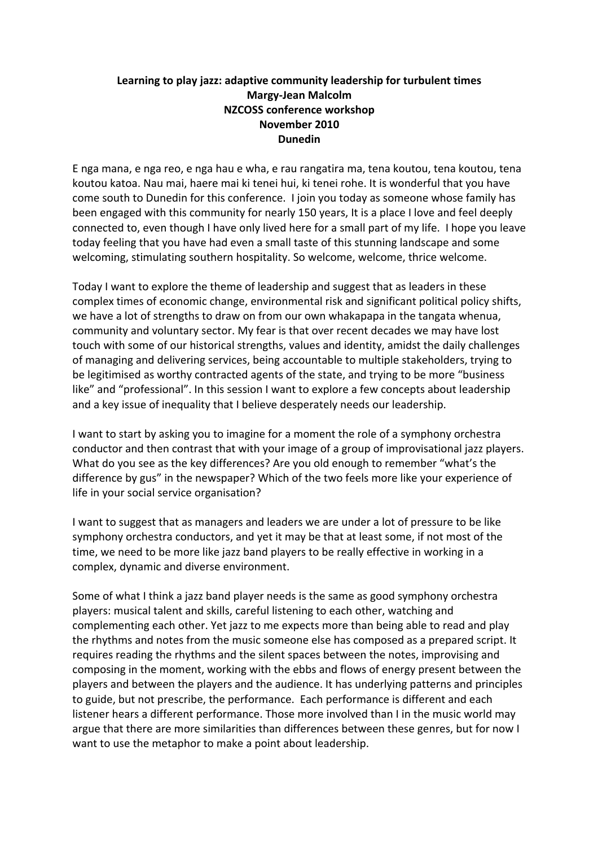## Learning to play jazz: adaptive community leadership for turbulent times **Margy;Jean(Malcolm NZCOSS conference workshop November 2010 Dunedin**

E nga mana, e nga reo, e nga hau e wha, e rau rangatira ma, tena koutou, tena koutou, tena koutou katoa. Nau mai, haere mai ki tenei hui, ki tenei rohe. It is wonderful that you have come south to Dunedin for this conference. I join you today as someone whose family has been engaged with this community for nearly 150 years, It is a place I love and feel deeply connected to, even though I have only lived here for a small part of my life. I hope you leave today feeling that you have had even a small taste of this stunning landscape and some welcoming, stimulating southern hospitality. So welcome, welcome, thrice welcome.

Today I want to explore the theme of leadership and suggest that as leaders in these complex times of economic change, environmental risk and significant political policy shifts, we have a lot of strengths to draw on from our own whakapapa in the tangata whenua, community and voluntary sector. My fear is that over recent decades we may have lost touch with some of our historical strengths, values and identity, amidst the daily challenges of managing and delivering services, being accountable to multiple stakeholders, trying to be legitimised as worthy contracted agents of the state, and trying to be more "business" like" and "professional". In this session I want to explore a few concepts about leadership and a key issue of inequality that I believe desperately needs our leadership.

I want to start by asking you to imagine for a moment the role of a symphony orchestra conductor and then contrast that with your image of a group of improvisational jazz players. What do you see as the key differences? Are you old enough to remember "what's the difference by gus" in the newspaper? Which of the two feels more like your experience of life in your social service organisation?

I want to suggest that as managers and leaders we are under a lot of pressure to be like symphony orchestra conductors, and yet it may be that at least some, if not most of the time, we need to be more like jazz band players to be really effective in working in a complex, dynamic and diverse environment.

Some of what I think a jazz band player needs is the same as good symphony orchestra players: musical talent and skills, careful listening to each other, watching and complementing each other. Yet jazz to me expects more than being able to read and play the rhythms and notes from the music someone else has composed as a prepared script. It requires reading the rhythms and the silent spaces between the notes, improvising and composing in the moment, working with the ebbs and flows of energy present between the players and between the players and the audience. It has underlying patterns and principles to guide, but not prescribe, the performance. Each performance is different and each listener hears a different performance. Those more involved than I in the music world may argue that there are more similarities than differences between these genres, but for now I want to use the metaphor to make a point about leadership.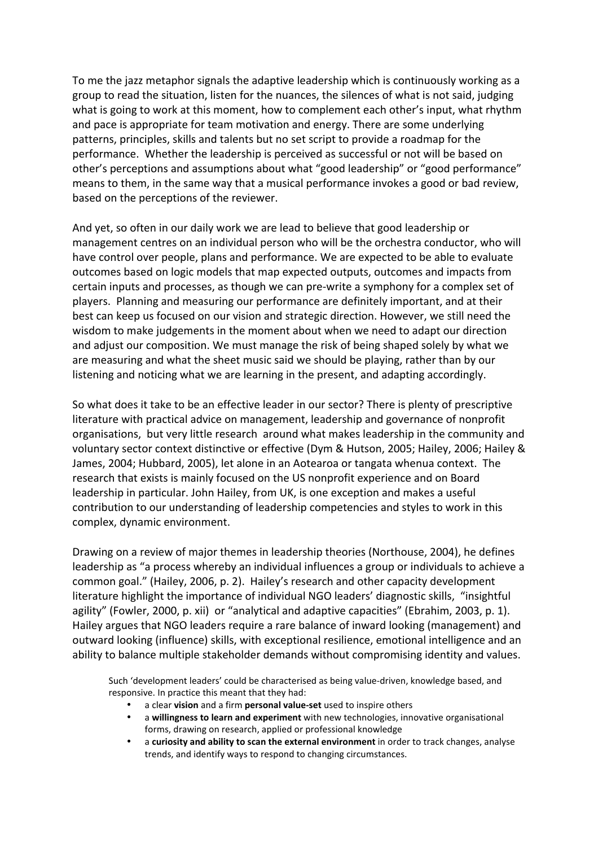To me the jazz metaphor signals the adaptive leadership which is continuously working as a group to read the situation, listen for the nuances, the silences of what is not said, judging what is going to work at this moment, how to complement each other's input, what rhythm and pace is appropriate for team motivation and energy. There are some underlying patterns, principles, skills and talents but no set script to provide a roadmap for the performance. Whether the leadership is perceived as successful or not will be based on other's perceptions and assumptions about what "good leadership" or "good performance" means to them, in the same way that a musical performance invokes a good or bad review, based on the perceptions of the reviewer.

And yet, so often in our daily work we are lead to believe that good leadership or management centres on an individual person who will be the orchestra conductor, who will have control over people, plans and performance. We are expected to be able to evaluate outcomes based on logic models that map expected outputs, outcomes and impacts from certain inputs and processes, as though we can pre-write a symphony for a complex set of players. Planning and measuring our performance are definitely important, and at their best can keep us focused on our vision and strategic direction. However, we still need the wisdom to make judgements in the moment about when we need to adapt our direction and adjust our composition. We must manage the risk of being shaped solely by what we are measuring and what the sheet music said we should be playing, rather than by our listening and noticing what we are learning in the present, and adapting accordingly.

So what does it take to be an effective leader in our sector? There is plenty of prescriptive literature with practical advice on management, leadership and governance of nonprofit organisations, but very little research around what makes leadership in the community and voluntary sector context distinctive or effective (Dym & Hutson, 2005; Hailey, 2006; Hailey & James, 2004; Hubbard, 2005), let alone in an Aotearoa or tangata whenua context. The research that exists is mainly focused on the US nonprofit experience and on Board leadership in particular. John Hailey, from UK, is one exception and makes a useful contribution to our understanding of leadership competencies and styles to work in this complex, dynamic environment.

Drawing on a review of major themes in leadership theories (Northouse, 2004), he defines leadership as "a process whereby an individual influences a group or individuals to achieve a common goal." (Hailey, 2006, p. 2). Hailey's research and other capacity development literature highlight the importance of individual NGO leaders' diagnostic skills, "insightful agility" (Fowler, 2000, p. xii) or "analytical and adaptive capacities" (Ebrahim, 2003, p. 1). Hailey argues that NGO leaders require a rare balance of inward looking (management) and outward looking (influence) skills, with exceptional resilience, emotional intelligence and an ability to balance multiple stakeholder demands without compromising identity and values.

Such 'development leaders' could be characterised as being value-driven, knowledge based, and responsive. In practice this meant that they had:

- a clear **vision** and a firm **personal value-set** used to inspire others
- a **willingness to learn and experiment** with new technologies, innovative organisational forms, drawing on research, applied or professional knowledge
- a **curiosity and ability to scan the external environment** in order to track changes, analyse trends, and identify ways to respond to changing circumstances.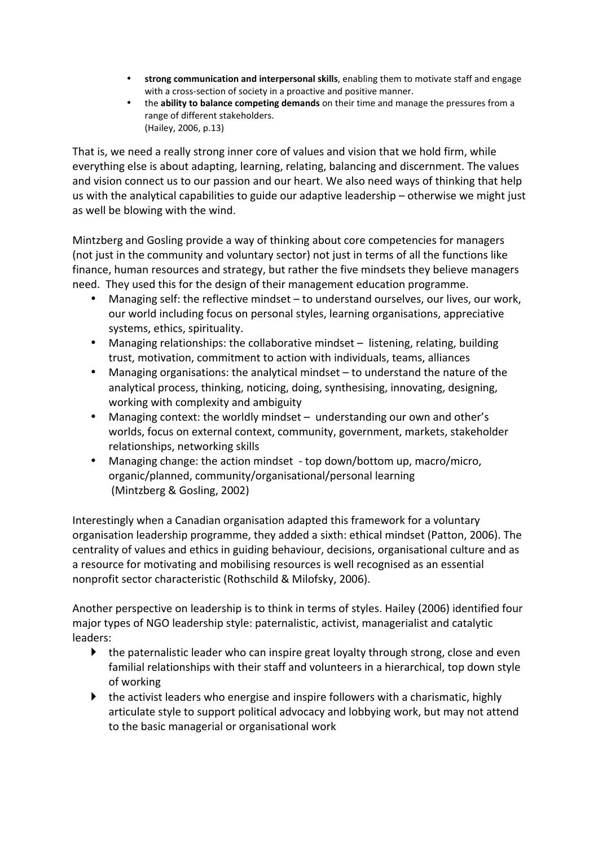- strong communication and interpersonal skills, enabling them to motivate staff and engage with a cross-section of society in a proactive and positive manner.
- the **ability to balance competing demands** on their time and manage the pressures from a range of different stakeholders. (Hailey, 2006, p.13)

That is, we need a really strong inner core of values and vision that we hold firm, while everything else is about adapting, learning, relating, balancing and discernment. The values and vision connect us to our passion and our heart. We also need ways of thinking that help us with the analytical capabilities to guide our adaptive leadership – otherwise we might just as well be blowing with the wind.

Mintzberg and Gosling provide a way of thinking about core competencies for managers (not just in the community and voluntary sector) not just in terms of all the functions like finance, human resources and strategy, but rather the five mindsets they believe managers need. They used this for the design of their management education programme.

- Managing self: the reflective mindset to understand ourselves, our lives, our work, our world including focus on personal styles, learning organisations, appreciative systems, ethics, spirituality.
- Managing relationships: the collaborative mindset listening, relating, building trust, motivation, commitment to action with individuals, teams, alliances
- Managing organisations: the analytical mindset  $-$  to understand the nature of the analytical process, thinking, noticing, doing, synthesising, innovating, designing, working with complexity and ambiguity
- Managing context: the worldly mindset understanding our own and other's worlds, focus on external context, community, government, markets, stakeholder relationships, networking skills
- Managing change: the action mindset top down/bottom up, macro/micro, organic/planned, community/organisational/personal learning (Mintzberg & Gosling, 2002)

Interestingly when a Canadian organisation adapted this framework for a voluntary organisation leadership programme, they added a sixth: ethical mindset (Patton, 2006). The centrality of values and ethics in guiding behaviour, decisions, organisational culture and as a resource for motivating and mobilising resources is well recognised as an essential nonprofit sector characteristic (Rothschild & Milofsky, 2006).

Another perspective on leadership is to think in terms of styles. Hailey (2006) identified four major types of NGO leadership style: paternalistic, activist, managerialist and catalytic leaders:

- $\blacktriangleright$  the paternalistic leader who can inspire great loyalty through strong, close and even familial relationships with their staff and volunteers in a hierarchical, top down style of working
- $\blacktriangleright$  the activist leaders who energise and inspire followers with a charismatic, highly articulate style to support political advocacy and lobbying work, but may not attend to the basic managerial or organisational work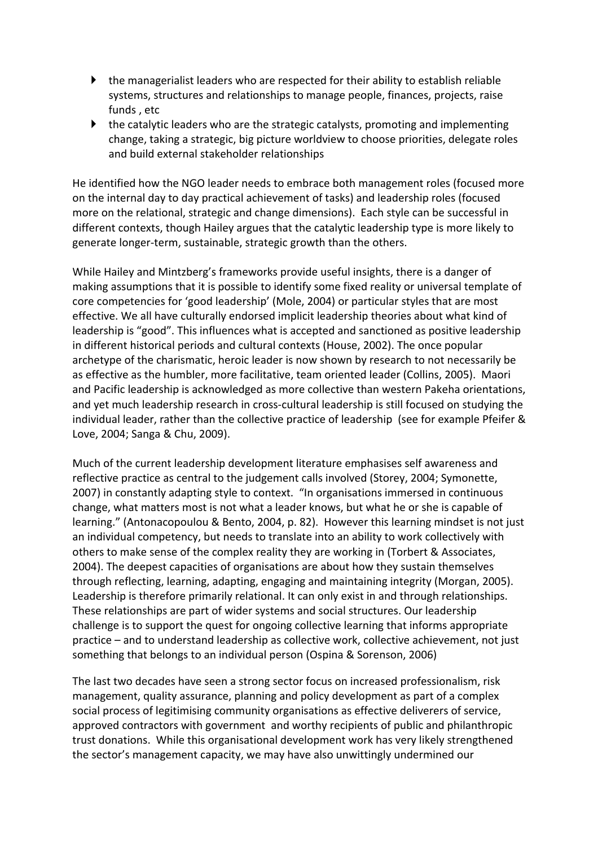- $\blacktriangleright$  the managerialist leaders who are respected for their ability to establish reliable systems, structures and relationships to manage people, finances, projects, raise funds, etc
- $\blacktriangleright$  the catalytic leaders who are the strategic catalysts, promoting and implementing change, taking a strategic, big picture worldview to choose priorities, delegate roles and build external stakeholder relationships

He identified how the NGO leader needs to embrace both management roles (focused more on the internal day to day practical achievement of tasks) and leadership roles (focused more on the relational, strategic and change dimensions). Each style can be successful in different contexts, though Hailey argues that the catalytic leadership type is more likely to generate longer-term, sustainable, strategic growth than the others.

While Hailey and Mintzberg's frameworks provide useful insights, there is a danger of making assumptions that it is possible to identify some fixed reality or universal template of core competencies for 'good leadership' (Mole, 2004) or particular styles that are most effective. We all have culturally endorsed implicit leadership theories about what kind of leadership is "good". This influences what is accepted and sanctioned as positive leadership in different historical periods and cultural contexts (House, 2002). The once popular archetype of the charismatic, heroic leader is now shown by research to not necessarily be as effective as the humbler, more facilitative, team oriented leader (Collins, 2005). Maori and Pacific leadership is acknowledged as more collective than western Pakeha orientations, and yet much leadership research in cross-cultural leadership is still focused on studying the individual leader, rather than the collective practice of leadership (see for example Pfeifer & Love, 2004; Sanga & Chu, 2009).

Much of the current leadership development literature emphasises self awareness and reflective practice as central to the judgement calls involved (Storey, 2004; Symonette, 2007) in constantly adapting style to context. "In organisations immersed in continuous change, what matters most is not what a leader knows, but what he or she is capable of learning." (Antonacopoulou & Bento, 2004, p. 82). However this learning mindset is not just an individual competency, but needs to translate into an ability to work collectively with others to make sense of the complex reality they are working in (Torbert & Associates, 2004). The deepest capacities of organisations are about how they sustain themselves through reflecting, learning, adapting, engaging and maintaining integrity (Morgan, 2005). Leadership is therefore primarily relational. It can only exist in and through relationships. These relationships are part of wider systems and social structures. Our leadership challenge is to support the quest for ongoing collective learning that informs appropriate practice – and to understand leadership as collective work, collective achievement, not just something that belongs to an individual person (Ospina & Sorenson, 2006)

The last two decades have seen a strong sector focus on increased professionalism, risk management, quality assurance, planning and policy development as part of a complex social process of legitimising community organisations as effective deliverers of service, approved contractors with government and worthy recipients of public and philanthropic trust donations. While this organisational development work has very likely strengthened the sector's management capacity, we may have also unwittingly undermined our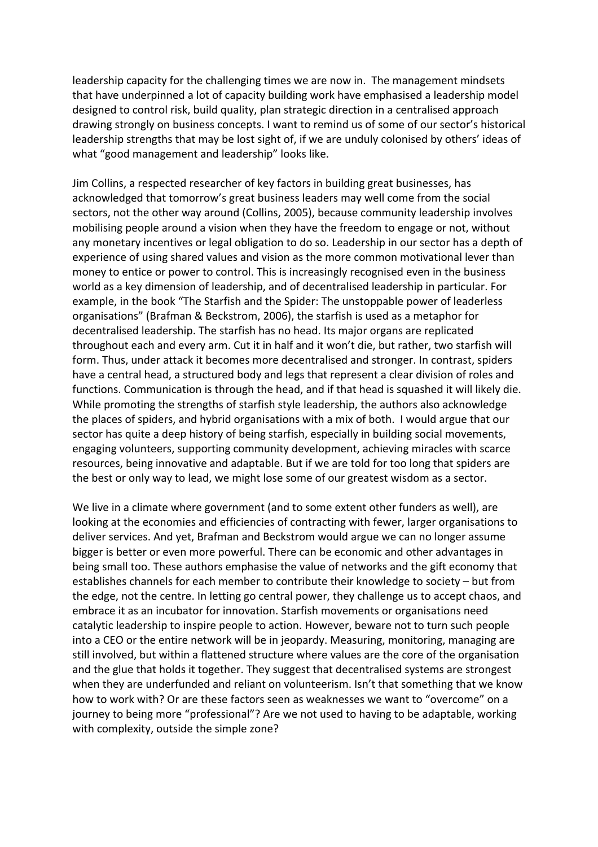leadership capacity for the challenging times we are now in. The management mindsets that have underpinned a lot of capacity building work have emphasised a leadership model designed to control risk, build quality, plan strategic direction in a centralised approach drawing strongly on business concepts. I want to remind us of some of our sector's historical leadership strengths that may be lost sight of, if we are unduly colonised by others' ideas of what "good management and leadership" looks like.

Jim Collins, a respected researcher of key factors in building great businesses, has acknowledged that tomorrow's great business leaders may well come from the social sectors, not the other way around (Collins, 2005), because community leadership involves mobilising people around a vision when they have the freedom to engage or not, without any monetary incentives or legal obligation to do so. Leadership in our sector has a depth of experience of using shared values and vision as the more common motivational lever than money to entice or power to control. This is increasingly recognised even in the business world as a key dimension of leadership, and of decentralised leadership in particular. For example, in the book "The Starfish and the Spider: The unstoppable power of leaderless organisations" (Brafman & Beckstrom, 2006), the starfish is used as a metaphor for decentralised leadership. The starfish has no head. Its major organs are replicated throughout each and every arm. Cut it in half and it won't die, but rather, two starfish will form. Thus, under attack it becomes more decentralised and stronger. In contrast, spiders have a central head, a structured body and legs that represent a clear division of roles and functions. Communication is through the head, and if that head is squashed it will likely die. While promoting the strengths of starfish style leadership, the authors also acknowledge the places of spiders, and hybrid organisations with a mix of both. I would argue that our sector has quite a deep history of being starfish, especially in building social movements, engaging volunteers, supporting community development, achieving miracles with scarce resources, being innovative and adaptable. But if we are told for too long that spiders are the best or only way to lead, we might lose some of our greatest wisdom as a sector.

We live in a climate where government (and to some extent other funders as well), are looking at the economies and efficiencies of contracting with fewer, larger organisations to deliver services. And yet, Brafman and Beckstrom would argue we can no longer assume bigger is better or even more powerful. There can be economic and other advantages in being small too. These authors emphasise the value of networks and the gift economy that establishes channels for each member to contribute their knowledge to society – but from the edge, not the centre. In letting go central power, they challenge us to accept chaos, and embrace it as an incubator for innovation. Starfish movements or organisations need catalytic leadership to inspire people to action. However, beware not to turn such people into a CEO or the entire network will be in jeopardy. Measuring, monitoring, managing are still involved, but within a flattened structure where values are the core of the organisation and the glue that holds it together. They suggest that decentralised systems are strongest when they are underfunded and reliant on volunteerism. Isn't that something that we know how to work with? Or are these factors seen as weaknesses we want to "overcome" on a journey to being more "professional"? Are we not used to having to be adaptable, working with complexity, outside the simple zone?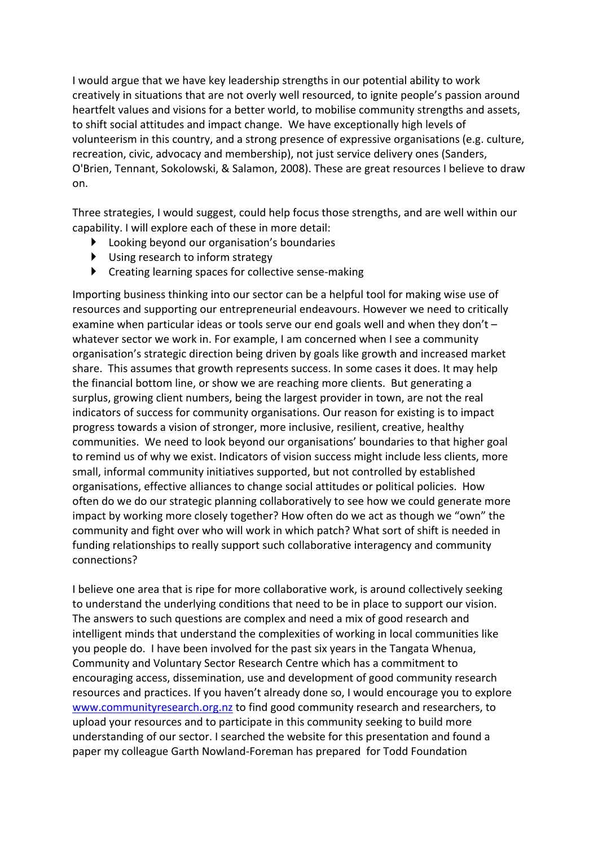I would argue that we have key leadership strengths in our potential ability to work creatively in situations that are not overly well resourced, to ignite people's passion around heartfelt values and visions for a better world, to mobilise community strengths and assets, to shift social attitudes and impact change. We have exceptionally high levels of volunteerism in this country, and a strong presence of expressive organisations (e.g. culture, recreation, civic, advocacy and membership), not just service delivery ones (Sanders, O'Brien, Tennant, Sokolowski, & Salamon, 2008). These are great resources I believe to draw on.

Three strategies, I would suggest, could help focus those strengths, and are well within our capability. I will explore each of these in more detail:

- $\blacktriangleright$  Looking beyond our organisation's boundaries
- $\blacktriangleright$  Using research to inform strategy
- $\blacktriangleright$  Creating learning spaces for collective sense-making

Importing business thinking into our sector can be a helpful tool for making wise use of resources and supporting our entrepreneurial endeavours. However we need to critically examine when particular ideas or tools serve our end goals well and when they don't – whatever sector we work in. For example, I am concerned when I see a community organisation's strategic direction being driven by goals like growth and increased market share. This assumes that growth represents success. In some cases it does. It may help the financial bottom line, or show we are reaching more clients. But generating a surplus, growing client numbers, being the largest provider in town, are not the real indicators of success for community organisations. Our reason for existing is to impact progress towards a vision of stronger, more inclusive, resilient, creative, healthy communities. We need to look beyond our organisations' boundaries to that higher goal to remind us of why we exist. Indicators of vision success might include less clients, more small, informal community initiatives supported, but not controlled by established organisations, effective alliances to change social attitudes or political policies. How often do we do our strategic planning collaboratively to see how we could generate more impact by working more closely together? How often do we act as though we "own" the community and fight over who will work in which patch? What sort of shift is needed in funding relationships to really support such collaborative interagency and community connections?

I believe one area that is ripe for more collaborative work, is around collectively seeking to understand the underlying conditions that need to be in place to support our vision. The answers to such questions are complex and need a mix of good research and intelligent minds that understand the complexities of working in local communities like you people do. I have been involved for the past six years in the Tangata Whenua, Community and Voluntary Sector Research Centre which has a commitment to encouraging access, dissemination, use and development of good community research resources and practices. If you haven't already done so, I would encourage you to explore www.communityresearch.org.nz to find good community research and researchers, to upload your resources and to participate in this community seeking to build more understanding of our sector. I searched the website for this presentation and found a paper my colleague Garth Nowland-Foreman has prepared for Todd Foundation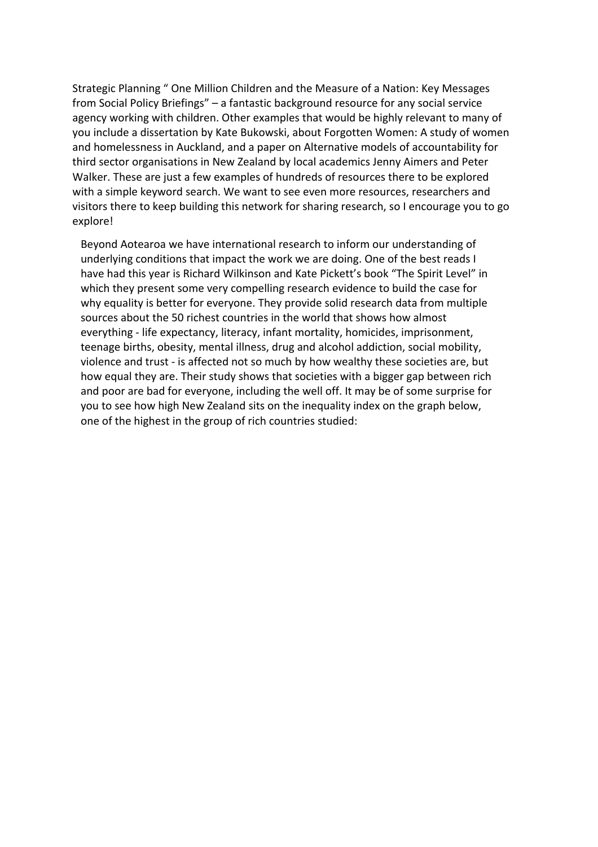Strategic Planning " One Million Children and the Measure of a Nation: Key Messages from Social Policy Briefings" – a fantastic background resource for any social service agency working with children. Other examples that would be highly relevant to many of you include a dissertation by Kate Bukowski, about Forgotten Women: A study of women and homelessness in Auckland, and a paper on Alternative models of accountability for third sector organisations in New Zealand by local academics Jenny Aimers and Peter Walker. These are just a few examples of hundreds of resources there to be explored with a simple keyword search. We want to see even more resources, researchers and visitors there to keep building this network for sharing research, so I encourage you to go explore!

Beyond Aotearoa we have international research to inform our understanding of underlying conditions that impact the work we are doing. One of the best reads I have had this year is Richard Wilkinson and Kate Pickett's book "The Spirit Level" in which they present some very compelling research evidence to build the case for why equality is better for everyone. They provide solid research data from multiple sources about the 50 richest countries in the world that shows how almost everything - life expectancy, literacy, infant mortality, homicides, imprisonment, teenage births, obesity, mental illness, drug and alcohol addiction, social mobility, violence and trust - is affected not so much by how wealthy these societies are, but how equal they are. Their study shows that societies with a bigger gap between rich and poor are bad for everyone, including the well off. It may be of some surprise for you to see how high New Zealand sits on the inequality index on the graph below, one of the highest in the group of rich countries studied: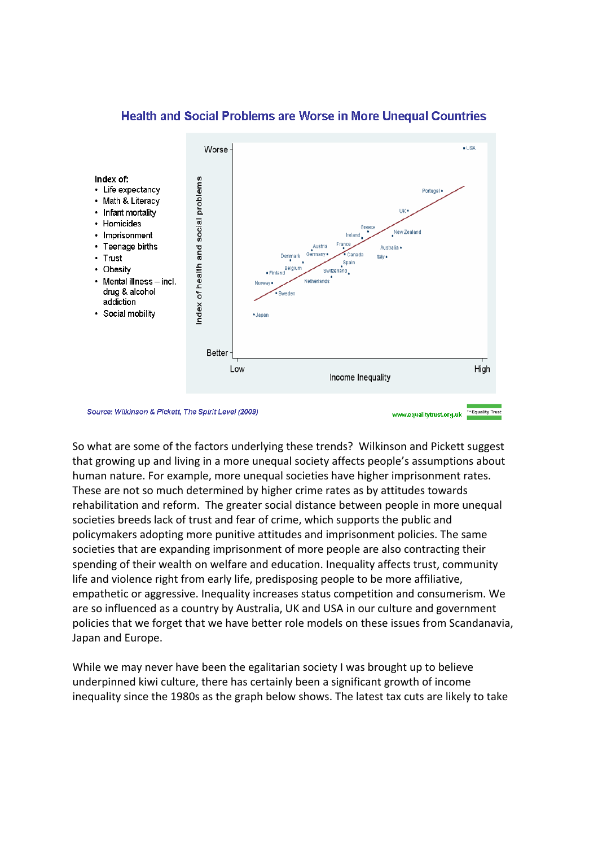

## **Health and Social Problems are Worse in More Unequal Countries**

So what are some of the factors underlying these trends? Wilkinson and Pickett suggest that growing up and living in a more unequal society affects people's assumptions about human nature. For example, more unequal societies have higher imprisonment rates. These are not so much determined by higher crime rates as by attitudes towards rehabilitation and reform. The greater social distance between people in more unequal societies breeds lack of trust and fear of crime, which supports the public and policymakers adopting more punitive attitudes and imprisonment policies. The same societies that are expanding imprisonment of more people are also contracting their spending of their wealth on welfare and education. Inequality affects trust, community life and violence right from early life, predisposing people to be more affiliative, empathetic or aggressive. Inequality increases status competition and consumerism. We are so influenced as a country by Australia, UK and USA in our culture and government policies that we forget that we have better role models on these issues from Scandanavia, Japan and Europe.

While we may never have been the egalitarian society I was brought up to believe underpinned kiwi culture, there has certainly been a significant growth of income inequality since the 1980s as the graph below shows. The latest tax cuts are likely to take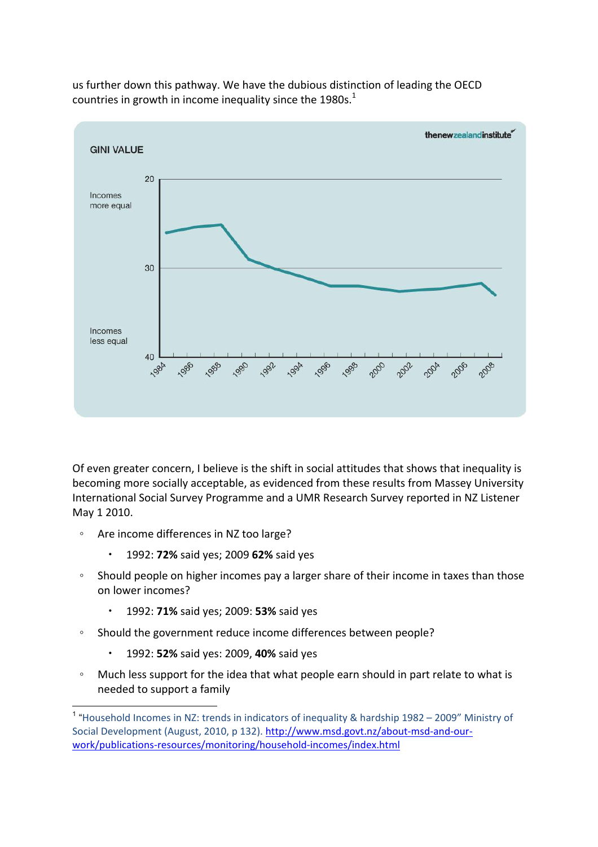

us further down this pathway. We have the dubious distinction of leading the OECD countries in growth in income inequality since the 1980s.<sup>1</sup>

Of even greater concern, I believe is the shift in social attitudes that shows that inequality is becoming more socially acceptable, as evidenced from these results from Massey University International Social Survey Programme and a UMR Research Survey reported in NZ Listener May 1 2010.

- Are income differences in NZ too large?
	- 1992:!**72%(**said!yes;!2009!**62%**!said!yes
- Should people on higher incomes pay a larger share of their income in taxes than those on lower incomes?
	- 1992:!**71%(**said!yes;!2009:!**53%(**said!yes
- Should the government reduce income differences between people?
	- 1992: 52% said yes: 2009, 40% said yes
- Much less support for the idea that what people earn should in part relate to what is needed to support a family

<sup>&</sup>lt;sup>1</sup> "Household Incomes in NZ: trends in indicators of inequality & hardship  $1982 - 2009$ " Ministry of Social Development (August, 2010, p 132). http://www.msd.govt.nz/about-msd-and-ourwork/publications-resources/monitoring/household-incomes/index.html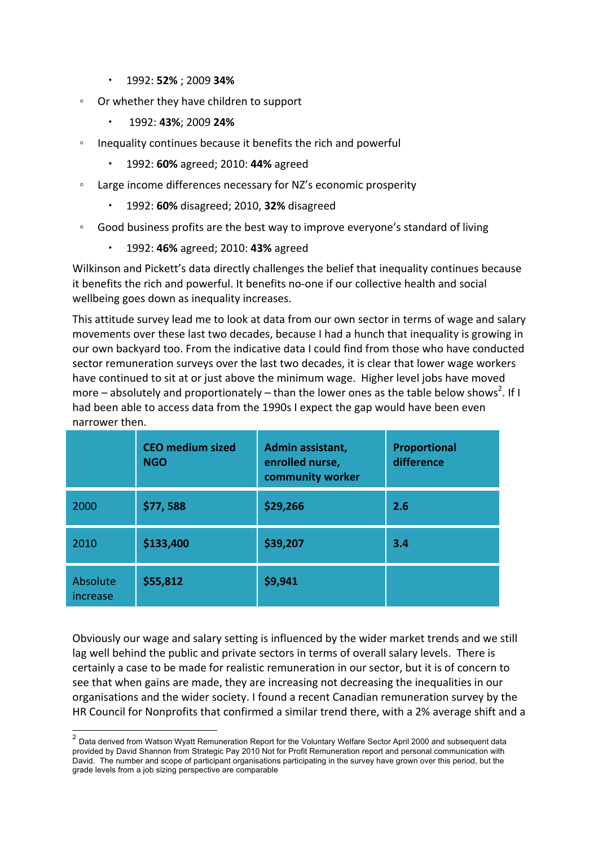- **1992: 52%; 2009 34%**
- Or whether they have children to support
	- !1992:!**43%**;!2009!**24%**
- Inequality continues because it benefits the rich and powerful
	- 1992:!**60%**!agreed;!2010:!**44%(**agreed
- Large income differences necessary for NZ's economic prosperity
	- 1992:!**60%(**disagreed;!2010,!**32%**!disagreed
- Good business profits are the best way to improve everyone's standard of living
	- 1992: 46% agreed; 2010: 43% agreed

Wilkinson and Pickett's data directly challenges the belief that inequality continues because it benefits the rich and powerful. It benefits no-one if our collective health and social wellbeing goes down as inequality increases.

This attitude survey lead me to look at data from our own sector in terms of wage and salary movements over these last two decades, because I had a hunch that inequality is growing in our own backyard too. From the indicative data I could find from those who have conducted sector remuneration surveys over the last two decades, it is clear that lower wage workers have continued to sit at or just above the minimum wage. Higher level jobs have moved more – absolutely and proportionately – than the lower ones as the table below shows<sup>2</sup>. If I had been able to access data from the 1990s I expect the gap would have been even narrower then.

|                       | <b>CEO</b> medium sized<br><b>NGO</b> | Admin assistant,<br>enrolled nurse,<br>community worker | Proportional<br>difference |
|-----------------------|---------------------------------------|---------------------------------------------------------|----------------------------|
| 2000                  | \$77,588                              | \$29,266                                                | 2.6                        |
| 2010                  | \$133,400                             | \$39,207                                                | 3.4                        |
| Absolute<br>increase. | \$55,812                              | \$9,941                                                 |                            |

Obviously our wage and salary setting is influenced by the wider market trends and we still lag well behind the public and private sectors in terms of overall salary levels. There is certainly a case to be made for realistic remuneration in our sector, but it is of concern to see that when gains are made, they are increasing not decreasing the inequalities in our organisations and the wider society. I found a recent Canadian remuneration survey by the HR Council for Nonprofits that confirmed a similar trend there, with a 2% average shift and a

 $\frac{2}{2}$  Data derived from Watson Wyatt Remuneration Report for the Voluntary Welfare Sector April 2000 and subsequent data provided by David Shannon from Strategic Pay 2010 Not for Profit Remuneration report and personal communication with David. The number and scope of participant organisations participating in the survey have grown over this period, but the grade levels from a job sizing perspective are comparable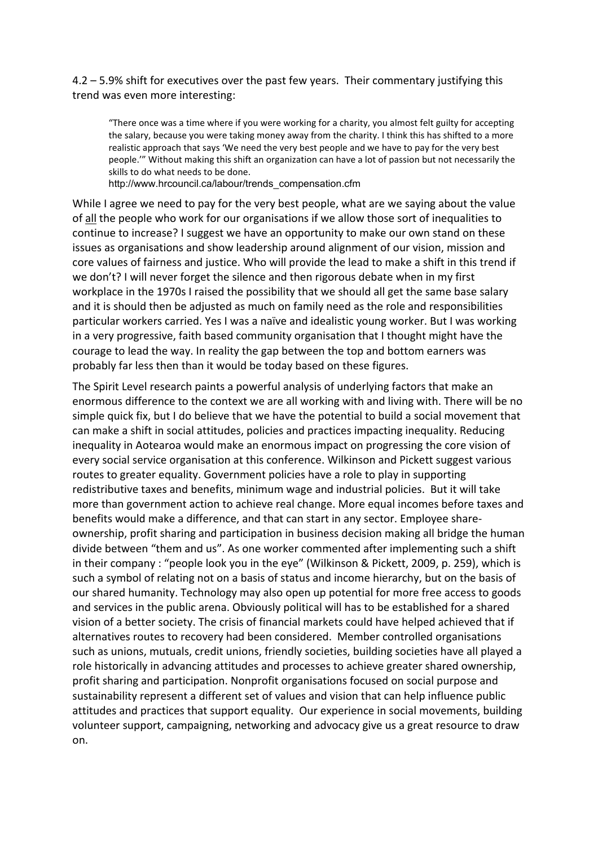$4.2 - 5.9\%$  shift for executives over the past few years. Their commentary justifying this trend was even more interesting:

"There once was a time where if you were working for a charity, you almost felt guilty for accepting the salary, because you were taking money away from the charity. I think this has shifted to a more realistic approach that says 'We need the very best people and we have to pay for the very best people.'" Without making this shift an organization can have a lot of passion but not necessarily the skills to do what needs to be done.

http://www.hrcouncil.ca/labour/trends\_compensation.cfm

While I agree we need to pay for the very best people, what are we saying about the value of all the people who work for our organisations if we allow those sort of inequalities to continue to increase? I suggest we have an opportunity to make our own stand on these issues as organisations and show leadership around alignment of our vision, mission and core values of fairness and justice. Who will provide the lead to make a shift in this trend if we don't? I will never forget the silence and then rigorous debate when in my first workplace in the 1970s I raised the possibility that we should all get the same base salary and it is should then be adjusted as much on family need as the role and responsibilities particular workers carried. Yes I was a naïve and idealistic young worker. But I was working in a very progressive, faith based community organisation that I thought might have the courage to lead the way. In reality the gap between the top and bottom earners was probably far less then than it would be today based on these figures.

The Spirit Level research paints a powerful analysis of underlying factors that make an enormous difference to the context we are all working with and living with. There will be no simple quick fix, but I do believe that we have the potential to build a social movement that can make a shift in social attitudes, policies and practices impacting inequality. Reducing inequality in Aotearoa would make an enormous impact on progressing the core vision of every social service organisation at this conference. Wilkinson and Pickett suggest various routes to greater equality. Government policies have a role to play in supporting redistributive taxes and benefits, minimum wage and industrial policies. But it will take more than government action to achieve real change. More equal incomes before taxes and benefits would make a difference, and that can start in any sector. Employee shareownership, profit sharing and participation in business decision making all bridge the human divide between "them and us". As one worker commented after implementing such a shift in their company : "people look you in the eye" (Wilkinson & Pickett, 2009, p. 259), which is such a symbol of relating not on a basis of status and income hierarchy, but on the basis of our shared humanity. Technology may also open up potential for more free access to goods and services in the public arena. Obviously political will has to be established for a shared vision of a better society. The crisis of financial markets could have helped achieved that if alternatives routes to recovery had been considered. Member controlled organisations such as unions, mutuals, credit unions, friendly societies, building societies have all played a role historically in advancing attitudes and processes to achieve greater shared ownership, profit sharing and participation. Nonprofit organisations focused on social purpose and sustainability represent a different set of values and vision that can help influence public attitudes and practices that support equality. Our experience in social movements, building volunteer support, campaigning, networking and advocacy give us a great resource to draw on.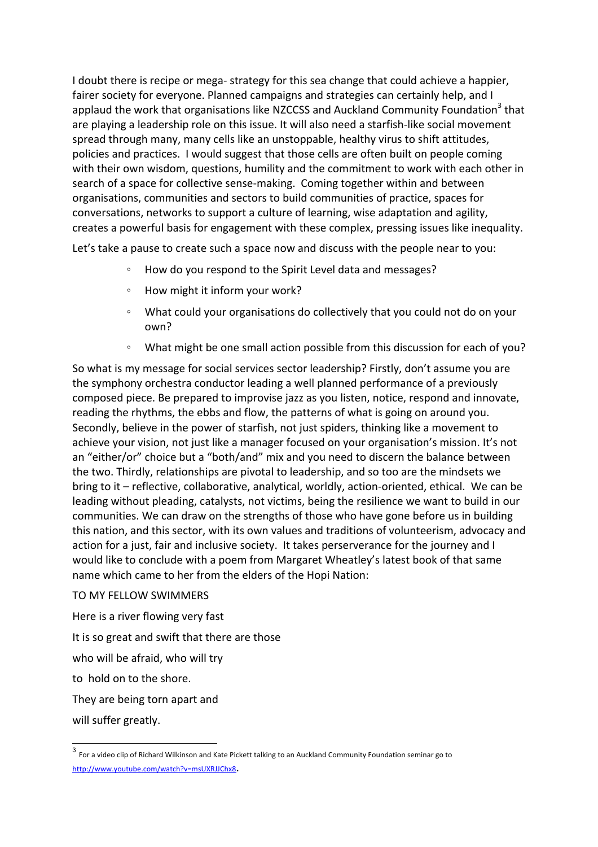I doubt there is recipe or mega-strategy for this sea change that could achieve a happier, fairer society for everyone. Planned campaigns and strategies can certainly help, and I applaud the work that organisations like NZCCSS and Auckland Community Foundation<sup>3</sup> that are playing a leadership role on this issue. It will also need a starfish-like social movement spread through many, many cells like an unstoppable, healthy virus to shift attitudes, policies and practices. I would suggest that those cells are often built on people coming with their own wisdom, questions, humility and the commitment to work with each other in search of a space for collective sense-making. Coming together within and between organisations, communities and sectors to build communities of practice, spaces for conversations, networks to support a culture of learning, wise adaptation and agility, creates a powerful basis for engagement with these complex, pressing issues like inequality.

Let's take a pause to create such a space now and discuss with the people near to you:

- How do you respond to the Spirit Level data and messages?
- How might it inform your work?
- What could your organisations do collectively that you could not do on your own?
- What might be one small action possible from this discussion for each of you?

So what is my message for social services sector leadership? Firstly, don't assume you are the symphony orchestra conductor leading a well planned performance of a previously composed piece. Be prepared to improvise jazz as you listen, notice, respond and innovate, reading the rhythms, the ebbs and flow, the patterns of what is going on around you. Secondly, believe in the power of starfish, not just spiders, thinking like a movement to achieve your vision, not just like a manager focused on your organisation's mission. It's not an "either/or" choice but a "both/and" mix and you need to discern the balance between the two. Thirdly, relationships are pivotal to leadership, and so too are the mindsets we bring to it – reflective, collaborative, analytical, worldly, action-oriented, ethical. We can be leading without pleading, catalysts, not victims, being the resilience we want to build in our communities. We can draw on the strengths of those who have gone before us in building this nation, and this sector, with its own values and traditions of volunteerism, advocacy and action for a just, fair and inclusive society. It takes perserverance for the journey and I would like to conclude with a poem from Margaret Wheatley's latest book of that same name which came to her from the elders of the Hopi Nation:

## TO MY FELLOW SWIMMERS

Here is a river flowing very fast

It is so great and swift that there are those

who will be afraid, who will try

to hold on to the shore.

They are being torn apart and

will suffer greatly.

 $3$  For a video clip of Richard Wilkinson and Kate Pickett talking to an Auckland Community Foundation seminar go to http://www.youtube.com/watch?v=msUXRJJChx8.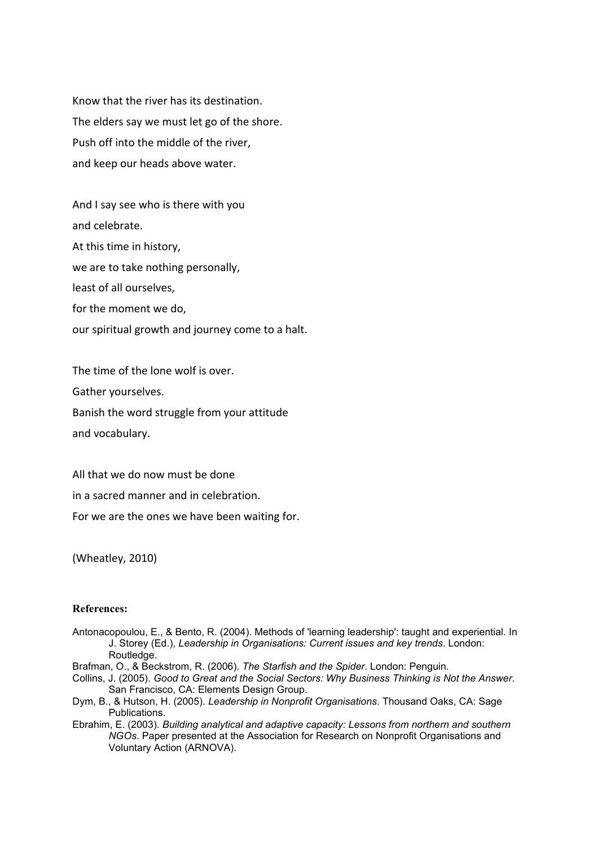Know that the river has its destination. The elders say we must let go of the shore. Push off into the middle of the river, and keep our heads above water.

And I say see who is there with you and celebrate. At this time in history, we are to take nothing personally, least of all ourselves, for the moment we do, our spiritual growth and journey come to a halt.

The time of the lone wolf is over. Gather yourselves. Banish the word struggle from your attitude and vocabulary.

All that we do now must be done

in a sacred manner and in celebration.

For we are the ones we have been waiting for.

(Wheatley, 2010)

## **References:**

- Antonacopoulou, E., & Bento, R. (2004). Methods of 'learning leadership': taught and experiential. In J. Storey (Ed.), *Leadership in Organisations: Current issues and key trends*. London: Routledge.
- Brafman, O., & Beckstrom, R. (2006). *The Starfish and the Spider*. London: Penguin.
- Collins, J. (2005). *Good to Great and the Social Sectors: Why Business Thinking is Not the Answer*. San Francisco, CA: Elements Design Group.
- Dym, B., & Hutson, H. (2005). *Leadership in Nonprofit Organisations*. Thousand Oaks, CA: Sage Publications.
- Ebrahim, E. (2003). *Building analytical and adaptive capacity: Lessons from northern and southern NGOs*. Paper presented at the Association for Research on Nonprofit Organisations and Voluntary Action (ARNOVA).